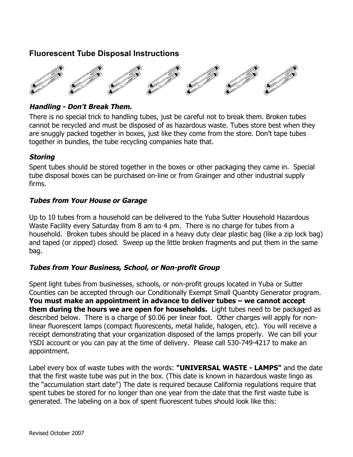# **Fluorescent Tube Disposal Instructions**



## **Handling - Don't Break Them.**

There is no special trick to handling tubes, just be careful not to break them. Broken tubes cannot be recycled and must be disposed of as hazardous waste. Tubes store best when they are snuggly packed together in boxes, just like they come from the store. Don't tape tubes together in bundles, the tube recycling companies hate that.

## **Storing**

Spent tubes should be stored together in the boxes or other packaging they came in. Special tube disposal boxes can be purchased on-line or from Grainger and other industrial supply firms.

## **Tubes from Your House or Garage**

Up to 10 tubes from a household can be delivered to the Yuba Sutter Household Hazardous Waste Facility every Saturday from 8 am to 4 pm. There is no charge for tubes from a household. Broken tubes should be placed in a heavy duty clear plastic bag (like a zip lock bag) and taped (or zipped) closed. Sweep up the little broken fragments and put them in the same bag.

#### **Tubes from Your Business, School, or Non-profit Group**

Spent light tubes from businesses, schools, or non-profit groups located in Yuba or Sutter Counties can be accepted through our Conditionally Exempt Small Quantity Generator program. **You must make an appointment in advance to deliver tubes – we cannot accept them during the hours we are open for households.** Light tubes need to be packaged as described below. There is a charge of \$0.06 per linear foot. Other charges will apply for nonlinear fluorescent lamps (compact fluorescents, metal halide, halogen, etc). You will receive a receipt demonstrating that your organization disposed of the lamps properly. We can bill your YSDI account or you can pay at the time of delivery. Please call 530-749-4217 to make an appointment.

Label every box of waste tubes with the words: **"UNIVERSAL WASTE - LAMPS"** and the date that the first waste tube was put in the box. (This date is known in hazardous waste lingo as the "accumulation start date") The date is required because California regulations require that spent tubes be stored for no longer than one year from the date that the first waste tube is generated. The labeling on a box of spent fluorescent tubes should look like this: